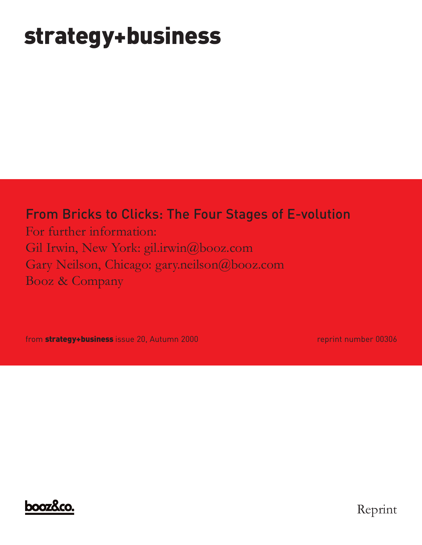# **strategy+business**

## From Bricks to Clicks: The Four Stages of E-volution

For further information: Gil Irwin, New York: gil.irwin@booz.com Gary Neilson, Chicago: gary.neilson@booz.com Booz & Company

from **strategy+business** issue 20, Autumn 2000 reprint number 00306



Reprint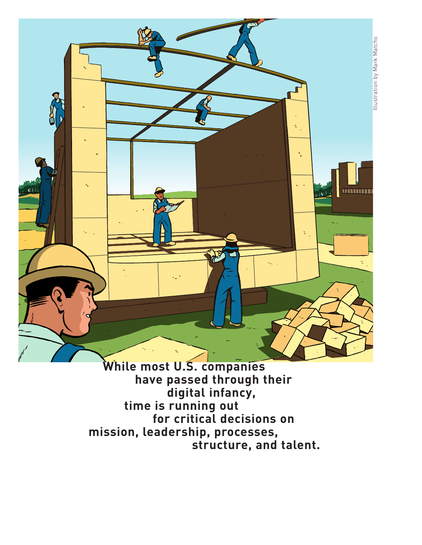

<u>umma</u>

**While most U.S. companies have passed through their digital infancy, time is running out for critical decisions on mission, leadership, processes, structure, and talent.**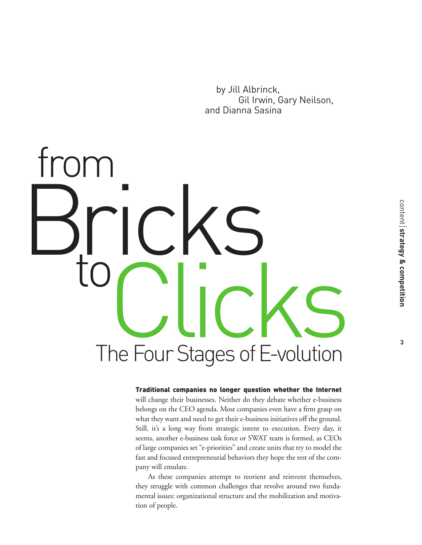by Jill Albrinck, Gil Irwin, Gary Neilson, and Dianna Sasina

# to PCICKS<br>The Four Stages of E-volution Bricks from

#### Traditional companies no longer question whether the Internet

will change their businesses. Neither do they debate whether e-business belongs on the CEO agenda. Most companies even have a firm grasp on what they want and need to get their e-business initiatives off the ground. Still, it's a long way from strategic intent to execution. Every day, it seems, another e-business task force or SWAT team is formed, as CEOs of large companies set "e-priorities" and create units that try to model the fast and focused entrepreneurial behaviors they hope the rest of the company will emulate.

As these companies attempt to reorient and reinvent themselves, they struggle with common challenges that revolve around two fundamental issues: organizational structure and the mobilization and motivation of people.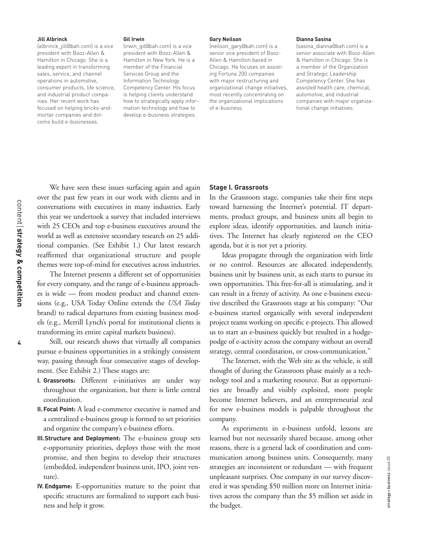#### **Jill Albrinck**

(albrinck\_jill@bah.com) is a vice president with Booz-Allen & Hamilton in Chicago. She is a leading expert in transforming sales, service, and channel operations in automotive, consumer products, life science, and industrial product companies. Her recent work has focused on helping bricks-andmortar companies and dotcoms build e-businesses.

#### **Gil Irwin**

(irwin\_gil@bah.com) is a vice president with Booz-Allen & Hamilton in New York. He is a member of the Financial Services Group and the Information Technology Competency Center. His focus is helping clients understand how to strategically apply information technology and how to develop e-business strategies.

#### **Gary Neilson**

(neilson\_gary@bah.com) is a senior vice president of Booz-Allen & Hamilton based in Chicago. He focuses on assisting Fortune 200 companies with major restructuring and organizational change initiatives, most recently concentrating on the organizational implications of e-business.

#### **Dianna Sasina**

(sasina\_dianna@bah.com) is a senior associate with Booz-Allen & Hamilton in Chicago. She is a member of the Organization and Strategic Leadership Competency Center. She has assisted health care, chemical, automotive, and industrial companies with major organizational change initiatives.

We have seen these issues surfacing again and again over the past few years in our work with clients and in conversations with executives in many industries. Early this year we undertook a survey that included interviews with 25 CEOs and top e-business executives around the world as well as extensive secondary research on 25 additional companies. (See Exhibit 1.) Our latest research reaffirmed that organizational structure and people themes were top-of-mind for executives across industries.

The Internet presents a different set of opportunities for every company, and the range of e-business approaches is wide — from modest product and channel extensions (e.g., USA Today Online extends the *USA Today* brand) to radical departures from existing business models (e.g., Merrill Lynch's portal for institutional clients is transforming its entire capital markets business).

Still, our research shows that virtually all companies pursue e-business opportunities in a strikingly consistent way, passing through four consecutive stages of development. (See Exhibit 2.) These stages are:

- **I. Grassroots:** Different e-initiatives are under way throughout the organization, but there is little central coordination.
- **II. Focal Point:** A lead e-commerce executive is named and a centralized e-business group is formed to set priorities and organize the company's e-business efforts.
- **III.Structure and Deployment:** The e-business group sets e-opportunity priorities, deploys those with the most promise, and then begins to develop their structures (embedded, independent business unit, IPO, joint venture).
- **IV. Endgame:** E-opportunities mature to the point that specific structures are formalized to support each business and help it grow.

#### **Stage I. Grassroots**

In the Grassroots stage, companies take their first steps toward harnessing the Internet's potential. IT departments, product groups, and business units all begin to explore ideas, identify opportunities, and launch initiatives. The Internet has clearly registered on the CEO agenda, but it is not yet a priority.

Ideas propagate through the organization with little or no control. Resources are allocated independently, business unit by business unit, as each starts to pursue its own opportunities. This free-for-all is stimulating, and it can result in a frenzy of activity. As one e-business executive described the Grassroots stage at his company: "Our e-business started organically with several independent project teams working on specific e-projects. This allowed us to start an e-business quickly but resulted in a hodgepodge of e-activity across the company without an overall strategy, central coordination, or cross-communication."

The Internet, with the Web site as the vehicle, is still thought of during the Grassroots phase mainly as a technology tool and a marketing resource. But as opportunities are broadly and visibly exploited, more people become Internet believers, and an entrepreneurial zeal for new e-business models is palpable throughout the company.

As experiments in e-business unfold, lessons are learned but not necessarily shared because, among other reasons, there is a general lack of coordination and communication among business units. Consequently, many strategies are inconsistent or redundant — with frequent unpleasant surprises. One company in our survey discovered it was spending \$50 million more on Internet initiatives across the company than the \$5 million set aside in the budget.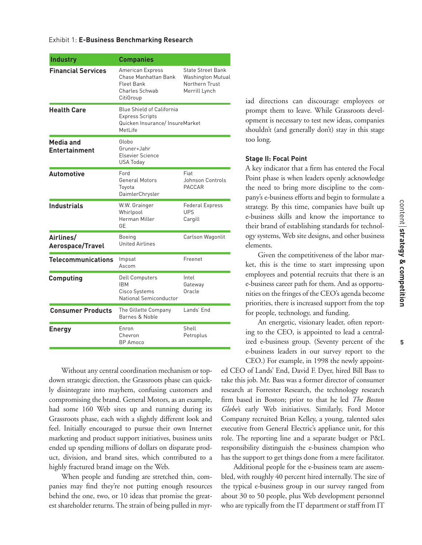| <b>Industry</b>                   | <b>Companies</b>                                                                                        |                                                                                         |
|-----------------------------------|---------------------------------------------------------------------------------------------------------|-----------------------------------------------------------------------------------------|
| <b>Financial Services</b>         | American Express<br>Chase Manhattan Bank<br>Fleet Bank<br>Charles Schwab<br>CitiGroup                   | <b>State Street Bank</b><br><b>Washington Mutual</b><br>Northern Trust<br>Merrill Lynch |
| <b>Health Care</b>                | <b>Blue Shield of California</b><br><b>Express Scripts</b><br>Quicken Insurance/InsureMarket<br>MetLife |                                                                                         |
| Media and<br><b>Entertainment</b> | Globo<br>Gruner+Jahr<br>Elsevier Science<br><b>USA Today</b>                                            |                                                                                         |
| <b>Automotive</b>                 | Ford<br><b>General Motors</b><br>Toyota<br>DaimlerChrysler                                              | Fiat<br>Johnson Controls<br><b>PACCAR</b>                                               |
| <b>Industrials</b>                | W.W. Grainger<br>Whirlpool<br>Herman Miller<br>GЕ                                                       | <b>Federal Express</b><br><b>UPS</b><br>Cargill                                         |
| Airlines/<br>Aerospace/Travel     | Boeing<br><b>United Airlines</b>                                                                        | Carlson Wagonlit                                                                        |
| <b>Telecommunications</b>         | Impsat<br>Ascom                                                                                         | Freenet                                                                                 |
| Computing                         | <b>Dell Computers</b><br><b>IBM</b><br>Cisco Systems<br>National Semiconductor                          | Intel<br>Gateway<br>Oracle                                                              |
| <b>Consumer Products</b>          | The Gillette Company<br>Barnes & Noble                                                                  | Lands' End                                                                              |
| <b>Energy</b>                     | Enron<br>Chevron<br><b>BP</b> Amoco                                                                     | Shell<br>Petroplus                                                                      |

Without any central coordination mechanism or topdown strategic direction, the Grassroots phase can quickly disintegrate into mayhem, confusing customers and compromising the brand. General Motors, as an example, had some 160 Web sites up and running during its Grassroots phase, each with a slightly different look and feel. Initially encouraged to pursue their own Internet marketing and product support initiatives, business units ended up spending millions of dollars on disparate product, division, and brand sites, which contributed to a highly fractured brand image on the Web.

When people and funding are stretched thin, companies may find they're not putting enough resources behind the one, two, or 10 ideas that promise the greatest shareholder returns. The strain of being pulled in myriad directions can discourage employees or prompt them to leave. While Grassroots development is necessary to test new ideas, companies shouldn't (and generally don't) stay in this stage too long.

#### **Stage II: Focal Point**

A key indicator that a firm has entered the Focal Point phase is when leaders openly acknowledge the need to bring more discipline to the company's e-business efforts and begin to formulate a strategy. By this time, companies have built up e-business skills and know the importance to their brand of establishing standards for technology systems, Web site designs, and other business elements.

Given the competitiveness of the labor market, this is the time to start impressing upon employees and potential recruits that there is an e-business career path for them. And as opportunities on the fringes of the CEO's agenda become priorities, there is increased support from the top for people, technology, and funding.

An energetic, visionary leader, often reporting to the CEO, is appointed to lead a centralized e-business group. (Seventy percent of the e-business leaders in our survey report to the CEO.) For example, in 1998 the newly appoint-

ed CEO of Lands' End, David F. Dyer, hired Bill Bass to take this job. Mr. Bass was a former director of consumer research at Forrester Research, the technology research firm based in Boston; prior to that he led *The Boston Globe'*s early Web initiatives. Similarly, Ford Motor Company recruited Brian Kelley, a young, talented sales executive from General Electric's appliance unit, for this role. The reporting line and a separate budget or P&L responsibility distinguish the e-business champion who has the support to get things done from a mere facilitator.

Additional people for the e-business team are assembled, with roughly 40 percent hired internally. The size of the typical e-business group in our survey ranged from about 30 to 50 people, plus Web development personnel who are typically from the IT department or staff from IT

**5**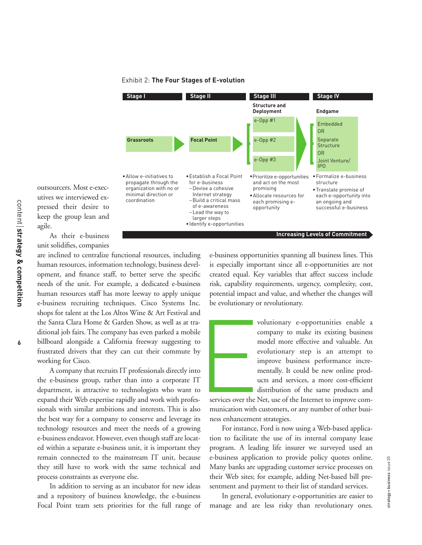

#### Exhibit 2: **The Four Stages of E-volution**

outsourcers. Most e-executives we interviewed expressed their desire to keep the group lean and agile. As their e-business

unit solidifies, companies

are inclined to centralize functional resources, including human resources, information technology, business development, and finance staff, to better serve the specific needs of the unit. For example, a dedicated e-business human resources staff has more leeway to apply unique e-business recruiting techniques. Cisco Systems Inc. shops for talent at the Los Altos Wine & Art Festival and the Santa Clara Home & Garden Show, as well as at traditional job fairs. The company has even parked a mobile billboard alongside a California freeway suggesting to frustrated drivers that they can cut their commute by working for Cisco.

A company that recruits IT professionals directly into the e-business group, rather than into a corporate IT department, is attractive to technologists who want to expand their Web expertise rapidly and work with professionals with similar ambitions and interests. This is also the best way for a company to conserve and leverage its technology resources and meet the needs of a growing e-business endeavor. However, even though staff are located within a separate e-business unit, it is important they remain connected to the mainstream IT unit, because they still have to work with the same technical and process constraints as everyone else.

In addition to serving as an incubator for new ideas and a repository of business knowledge, the e-business Focal Point team sets priorities for the full range of e-business opportunities spanning all business lines. This is especially important since all e-opportunities are not created equal. Key variables that affect success include risk, capability requirements, urgency, complexity, cost, potential impact and value, and whether the changes will be evolutionary or revolutionary.

> volutionary e-opportunities enable a company to make its existing business model more effective and valuable. An evolutionary step is an attempt to improve business performance incrementally. It could be new online products and services, a more cost-efficient distribution of the same products and

services over the Net, use of the Internet to improve communication with customers, or any number of other business enhancement strategies. E<br>
P<br>
y<br>
y<br>
y<br>
y<br>
(<br>
1<br>
(<br>
y<br>
y<br>
y<br>
(<br>
1<br>
i<br>
y<br>
i<br>
y<br>
i<br>
1<br>
y<br>
i<br>
y<br>
i<br>
y<br>
i<br>
1<br>
y<br>
i<br>
y<br>
i<br>
y<br>
t<br>
y<br>
c<br>
munication with<br>
y<br>
munication with<br>
y<br>
munication with<br>
y<br>
munication with<br>
y<br>
munication with<br>
y<br>
munication with<br>

For instance, Ford is now using a Web-based application to facilitate the use of its internal company lease program. A leading life insurer we surveyed used an e-business application to provide policy quotes online. Many banks are upgrading customer service processes on their Web sites; for example, adding Net-based bill presentment and payment to their list of standard services.

In general, evolutionary e-opportunities are easier to manage and are less risky than revolutionary ones.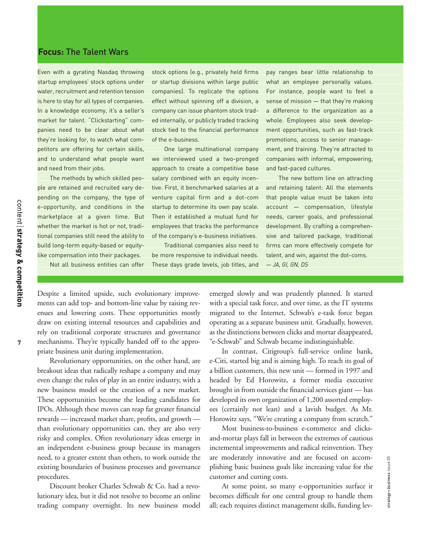#### **Focus:** The Talent Wars

Even with a gyrating Nasdaq throwing startup employees' stock options under water, recruitment and retention tension is here to stay for all types of companies. In a knowledge economy, it's a seller's market for talent. "Clickstarting" companies need to be clear about what they're looking for, to watch what competitors are offering for certain skills, and to understand what people want and need from their jobs.

The methods by which skilled people are retained and recruited vary depending on the company, the type of e-opportunity, and conditions in the marketplace at a given time. But whether the market is hot or not, traditional companies still need the ability to build long-term equity-based or equitylike compensation into their packages.

Not all business entities can offer

stock options (e.g., privately held firms or startup divisions within large public companies). To replicate the options effect without spinning off a division, a company can issue phantom stock traded internally, or publicly traded tracking stock tied to the financial performance of the e-business.

One large multinational company we interviewed used a two-pronged approach to create a competitive base salary combined with an equity incentive. First, it benchmarked salaries at a venture capital firm and a dot-com startup to determine its own pay scale. Then it established a mutual fund for employees that tracks the performance of the company's e-business initiatives.

Traditional companies also need to be more responsive to individual needs. These days grade levels, job titles, and

pay ranges bear little relationship to what an employee personally values. For instance, people want to feel a sense of mission — that they're making a difference to the organization as a whole. Employees also seek development opportunities, such as fast-track promotions, access to senior management, and training. They're attracted to companies with informal, empowering, and fast-paced cultures.

The new bottom line on attracting and retaining talent: All the elements that people value must be taken into account — compensation, lifestyle needs, career goals, and professional development. By crafting a comprehensive and tailored package, traditional firms can more effectively compete for talent, and win, against the dot-coms. *— JA, GI, GN, DS*

Despite a limited upside, such evolutionary improvements can add top- and bottom-line value by raising revenues and lowering costs. These opportunities mostly draw on existing internal resources and capabilities and rely on traditional corporate structures and governance mechanisms. They're typically handed off to the appropriate business unit during implementation.

Revolutionary opportunities, on the other hand, are breakout ideas that radically reshape a company and may even change the rules of play in an entire industry, with a new business model or the creation of a new market. These opportunities become the leading candidates for IPOs. Although these moves can reap far greater financial rewards — increased market share, profits, and growth than evolutionary opportunities can, they are also very risky and complex. Often revolutionary ideas emerge in an independent e-business group because its managers need, to a greater extent than others, to work outside the existing boundaries of business processes and governance procedures.

Discount broker Charles Schwab & Co. had a revolutionary idea, but it did not resolve to become an online trading company overnight. Its new business model emerged slowly and was prudently planned. It started with a special task force, and over time, as the IT systems migrated to the Internet, Schwab's e-task force began operating as a separate business unit. Gradually, however, as the distinctions between clicks and mortar disappeared, "e-Schwab" and Schwab became indistinguishable.

In contrast, Citigroup's full-service online bank, e-Citi, started big and is aiming high. To reach its goal of a billion customers, this new unit — formed in 1997 and headed by Ed Horowitz, a former media executive brought in from outside the financial services giant — has developed its own organization of 1,200 assorted employees (certainly not lean) and a lavish budget. As Mr. Horowitz says, "We're creating a company from scratch."

Most business-to-business e-commerce and clicksand-mortar plays fall in between the extremes of cautious incremental improvements and radical reinvention. They are moderately innovative and are focused on accomplishing basic business goals like increasing value for the customer and cutting costs.

At some point, so many e-opportunities surface it becomes difficult for one central group to handle them all; each requires distinct management skills, funding lev-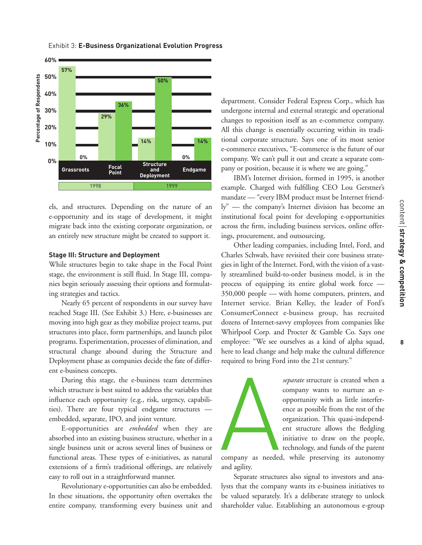

Exhibit 3: **E-Business Organizational Evolution Progress**

els, and structures. Depending on the nature of an e-opportunity and its stage of development, it might migrate back into the existing corporate organization, or an entirely new structure might be created to support it.

#### **Stage III: Structure and Deployment**

While structures begin to take shape in the Focal Point stage, the environment is still fluid. In Stage III, companies begin seriously assessing their options and formulating strategies and tactics.

Nearly 65 percent of respondents in our survey have reached Stage III. (See Exhibit 3.) Here, e-businesses are moving into high gear as they mobilize project teams, put structures into place, form partnerships, and launch pilot programs. Experimentation, processes of elimination, and structural change abound during the Structure and Deployment phase as companies decide the fate of different e-business concepts.

During this stage, the e-business team determines which structure is best suited to address the variables that influence each opportunity (e.g., risk, urgency, capabilities). There are four typical endgame structures embedded, separate, IPO, and joint venture.

E-opportunities are *embedded* when they are absorbed into an existing business structure, whether in a single business unit or across several lines of business or functional areas. These types of e-initiatives, as natural extensions of a firm's traditional offerings, are relatively easy to roll out in a straightforward manner.

Revolutionary e-opportunities can also be embedded. In these situations, the opportunity often overtakes the entire company, transforming every business unit and

department. Consider Federal Express Corp., which has undergone internal and external strategic and operational changes to reposition itself as an e-commerce company. All this change is essentially occurring within its traditional corporate structure. Says one of its most senior e-commerce executives, "E-commerce is the future of our company. We can't pull it out and create a separate company or position, because it is where we are going."

IBM's Internet division, formed in 1995, is another example. Charged with fulfilling CEO Lou Gerstner's mandate — "every IBM product must be Internet friendly" — the company's Internet division has become an institutional focal point for developing e-opportunities across the firm, including business services, online offerings, procurement, and outsourcing.

Other leading companies, including Intel, Ford, and Charles Schwab, have revisited their core business strategies in light of the Internet. Ford, with the vision of a vastly streamlined build-to-order business model, is in the process of equipping its entire global work force — 350,000 people — with home computers, printers, and Internet service. Brian Kelley, the leader of Ford's ConsumerConnect e-business group, has recruited dozens of Internet-savvy employees from companies like Whirlpool Corp. and Procter & Gamble Co. Says one employee: "We see ourselves as a kind of alpha squad, here to lead change and help make the cultural difference required to bring Ford into the 21st century."



*separate* structure is created when a company wants to nurture an eopportunity with as little interference as possible from the rest of the organization. This quasi-independent structure allows the fledgling initiative to draw on the people, technology, and funds of the parent

company as needed, while preserving its autonomy and agility.

Separate structures also signal to investors and analysts that the company wants its e-business initiatives to be valued separately. It's a deliberate strategy to unlock shareholder value. Establishing an autonomous e-group **8**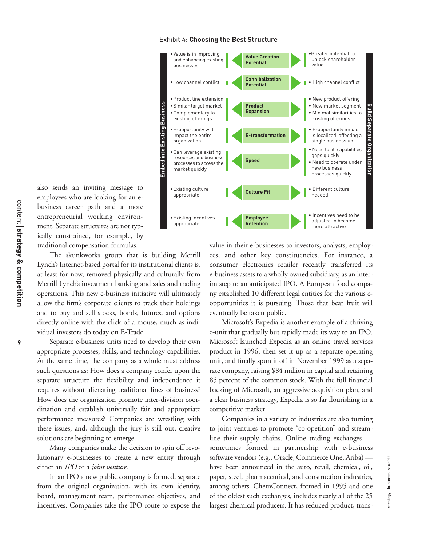**9**

#### Exhibit 4: **Choosing the Best Structure**



also sends an inviting message to employees who are looking for an ebusiness career path and a more entrepreneurial working environment. Separate structures are not typically constrained, for example, by traditional compensation formulas.

The skunkworks group that is building Merrill Lynch's Internet-based portal for its institutional clients is, at least for now, removed physically and culturally from Merrill Lynch's investment banking and sales and trading operations. This new e-business initiative will ultimately allow the firm's corporate clients to track their holdings and to buy and sell stocks, bonds, futures, and options directly online with the click of a mouse, much as individual investors do today on E-Trade.

Separate e-business units need to develop their own appropriate processes, skills, and technology capabilities. At the same time, the company as a whole must address such questions as: How does a company confer upon the separate structure the flexibility and independence it requires without alienating traditional lines of business? How does the organization promote inter-division coordination and establish universally fair and appropriate performance measures? Companies are wrestling with these issues, and, although the jury is still out, creative solutions are beginning to emerge.

Many companies make the decision to spin off revolutionary e-businesses to create a new entity through either an *IPO* or a *joint venture*.

In an IPO a new public company is formed, separate from the original organization, with its own identity, board, management team, performance objectives, and incentives. Companies take the IPO route to expose the value in their e-businesses to investors, analysts, employees, and other key constituencies. For instance, a consumer electronics retailer recently transferred its e-business assets to a wholly owned subsidiary, as an interim step to an anticipated IPO. A European food company established 10 different legal entities for the various eopportunities it is pursuing. Those that bear fruit will eventually be taken public.

Microsoft's Expedia is another example of a thriving e-unit that gradually but rapidly made its way to an IPO. Microsoft launched Expedia as an online travel services product in 1996, then set it up as a separate operating unit, and finally spun it off in November 1999 as a separate company, raising \$84 million in capital and retaining 85 percent of the common stock. With the full financial backing of Microsoft, an aggressive acquisition plan, and a clear business strategy, Expedia is so far flourishing in a competitive market.

Companies in a variety of industries are also turning to joint ventures to promote "co-opetition" and streamline their supply chains. Online trading exchanges sometimes formed in partnership with e-business software vendors (e.g., Oracle, Commerce One, Ariba) have been announced in the auto, retail, chemical, oil, paper, steel, pharmaceutical, and construction industries, among others. ChemConnect, formed in 1995 and one of the oldest such exchanges, includes nearly all of the 25 largest chemical producers. It has reduced product, trans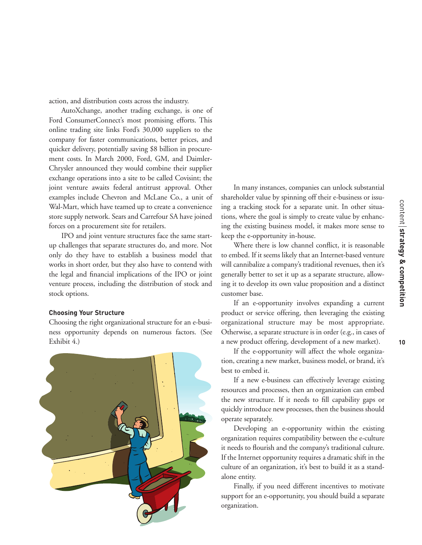action, and distribution costs across the industry.

AutoXchange, another trading exchange, is one of Ford ConsumerConnect's most promising efforts. This online trading site links Ford's 30,000 suppliers to the company for faster communications, better prices, and quicker delivery, potentially saving \$8 billion in procurement costs. In March 2000, Ford, GM, and Daimler-Chrysler announced they would combine their supplier exchange operations into a site to be called Covisint; the joint venture awaits federal antitrust approval. Other examples include Chevron and McLane Co., a unit of Wal-Mart, which have teamed up to create a convenience store supply network. Sears and Carrefour SA have joined forces on a procurement site for retailers.

IPO and joint venture structures face the same startup challenges that separate structures do, and more. Not only do they have to establish a business model that works in short order, but they also have to contend with the legal and financial implications of the IPO or joint venture process, including the distribution of stock and stock options.

#### **Choosing Your Structure**

Choosing the right organizational structure for an e-business opportunity depends on numerous factors. (See Exhibit 4.)



In many instances, companies can unlock substantial shareholder value by spinning off their e-business or issuing a tracking stock for a separate unit. In other situations, where the goal is simply to create value by enhancing the existing business model, it makes more sense to keep the e-opportunity in-house.

Where there is low channel conflict, it is reasonable to embed. If it seems likely that an Internet-based venture will cannibalize a company's traditional revenues, then it's generally better to set it up as a separate structure, allowing it to develop its own value proposition and a distinct customer base.

If an e-opportunity involves expanding a current product or service offering, then leveraging the existing organizational structure may be most appropriate. Otherwise, a separate structure is in order (e.g., in cases of a new product offering, development of a new market).

If the e-opportunity will affect the whole organization, creating a new market, business model, or brand, it's best to embed it.

If a new e-business can effectively leverage existing resources and processes, then an organization can embed the new structure. If it needs to fill capability gaps or quickly introduce new processes, then the business should operate separately.

Developing an e-opportunity within the existing organization requires compatibility between the e-culture it needs to flourish and the company's traditional culture. If the Internet opportunity requires a dramatic shift in the culture of an organization, it's best to build it as a standalone entity.

Finally, if you need different incentives to motivate support for an e-opportunity, you should build a separate organization.

content strategy & competition

**strategy & competition**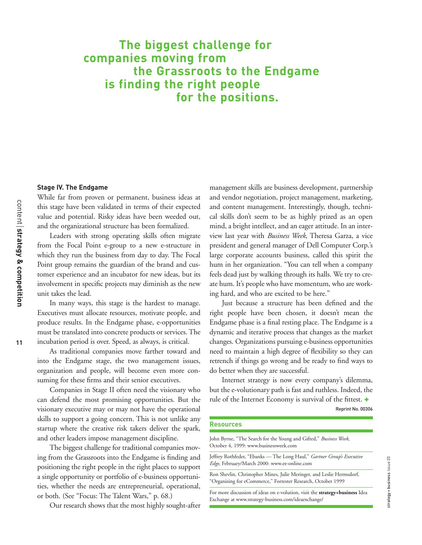### **The biggest challenge for companies moving from the Grassroots to the Endgame is finding the right people for the positions.**

#### **Stage IV. The Endgame**

While far from proven or permanent, business ideas at this stage have been validated in terms of their expected value and potential. Risky ideas have been weeded out, and the organizational structure has been formalized.

Leaders with strong operating skills often migrate from the Focal Point e-group to a new e-structure in which they run the business from day to day. The Focal Point group remains the guardian of the brand and customer experience and an incubator for new ideas, but its involvement in specific projects may diminish as the new unit takes the lead.

In many ways, this stage is the hardest to manage. Executives must allocate resources, motivate people, and produce results. In the Endgame phase, e-opportunities must be translated into concrete products or services. The incubation period is over. Speed, as always, is critical.

As traditional companies move farther toward and into the Endgame stage, the two management issues, organization and people, will become even more consuming for these firms and their senior executives.

Companies in Stage II often need the visionary who can defend the most promising opportunities. But the visionary executive may or may not have the operational skills to support a going concern. This is not unlike any startup where the creative risk takers deliver the spark, and other leaders impose management discipline.

The biggest challenge for traditional companies moving from the Grassroots into the Endgame is finding and positioning the right people in the right places to support a single opportunity or portfolio of e-business opportunities, whether the needs are entrepreneurial, operational, or both. (See "Focus: The Talent Wars," p. 68.)

Our research shows that the most highly sought-after

management skills are business development, partnership and vendor negotiation, project management, marketing, and content management. Interestingly, though, technical skills don't seem to be as highly prized as an open mind, a bright intellect, and an eager attitude. In an interview last year with *Business Week*, Theresa Garza, a vice president and general manager of Dell Computer Corp.'s large corporate accounts business, called this spirit the hum in her organization. "You can tell when a company feels dead just by walking through its halls. We try to create hum. It's people who have momentum, who are working hard, and who are excited to be here."

Just because a structure has been defined and the right people have been chosen, it doesn't mean the Endgame phase is a final resting place. The Endgame is a dynamic and iterative process that changes as the market changes. Organizations pursuing e-business opportunities need to maintain a high degree of flexibility so they can retrench if things go wrong and be ready to find ways to do better when they are successful.

Internet strategy is now every company's dilemma, but the e-volutionary path is fast and ruthless. Indeed, the rule of the Internet Economy is survival of the fittest. +

Reprint No. 00306

#### **Resources**

| John Byrne, "The Search for the Young and Gifted," Business Week,<br>October 4, 1999: www.businessweek.com                            |  |  |
|---------------------------------------------------------------------------------------------------------------------------------------|--|--|
| Jeffrey Rothfeder, "Ebanks — The Long Haul," <i>Gartner Group's Executive</i><br>Edge, February/March 2000: www.ee-online.com         |  |  |
| Ron Shevlin, Christopher Mines, Julie Meringer, and Leslie Hermsdorf,<br>"Organizing for eCommerce," Forrester Research, October 1999 |  |  |

For more discussion of ideas on e-volution, visit the **strategy+business** Idea Exchange at www.strategy-business.com/ideaexchange/